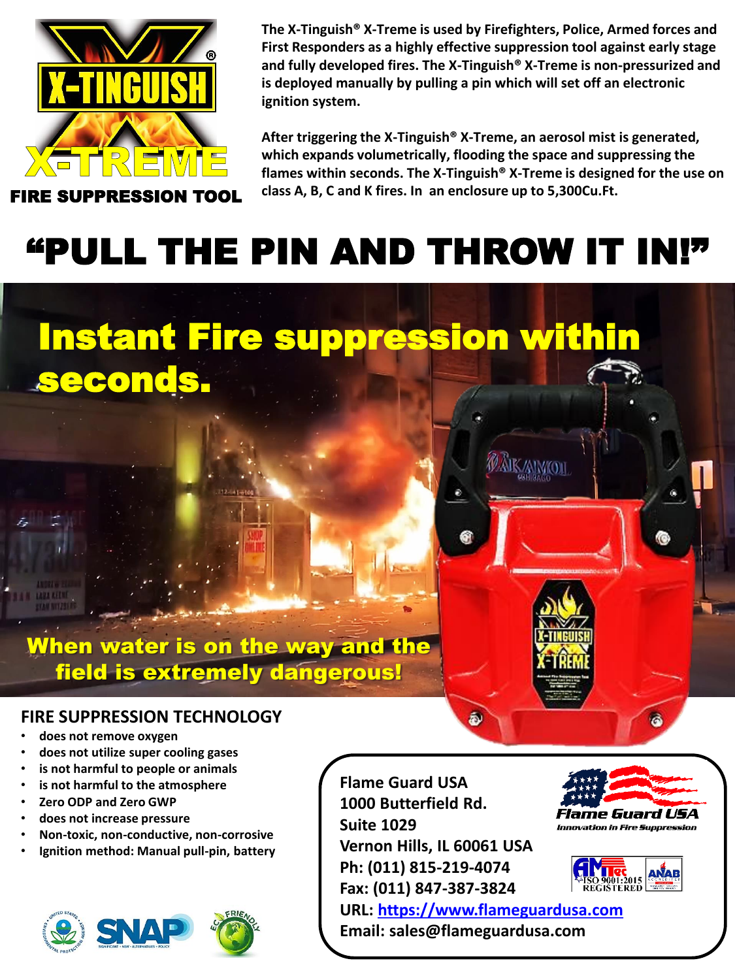

seconds.

**The X-Tinguish® X-Treme is used by Firefighters, Police, Armed forces and First Responders as a highly effective suppression tool against early stage and fully developed fires. The X-Tinguish® X-Treme is non-pressurized and is deployed manually by pulling a pin which will set off an electronic ignition system.** 

**After triggering the X-Tinguish® X-Treme, an aerosol mist is generated, which expands volumetrically, flooding the space and suppressing the flames within seconds. The X-Tinguish® X-Treme is designed for the use on class A, B, C and K fires. In an enclosure up to 5,300Cu.Ft.**

## "PULL THE PIN AND THROW IT IN!"

Instant Fire suppression within

## When water is on the way and the field is extremely dangerous!

#### **FIRE SUPPRESSION TECHNOLOGY**

- **does not remove oxygen**
- **does not utilize super cooling gases**
- **is not harmful to people or animals**
- **is not harmful to the atmosphere**
- **Zero ODP and Zero GWP**
- **does not increase pressure**
- **Non-toxic, non-conductive, non-corrosive**
- **Ignition method: Manual pull-pin, battery**



**Flame Guard USA 1000 Butterfield Rd. Suite 1029 Vernon Hills, IL 60061 USA Ph: (011) 815-219-4074 Fax: (011) 847-387-3824 URL: [https://www.flameguardusa.com](https://www.flameguardusa.com/) Email: sales@flameguardusa.com**

â.